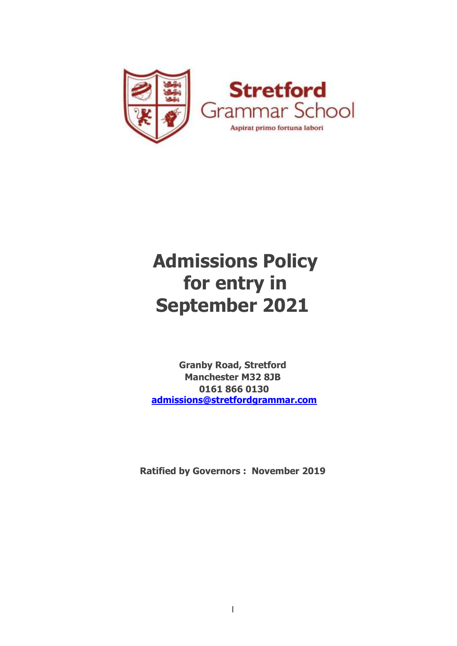

# **Admissions Policy for entry in September 2021**

**Granby Road, Stretford Manchester M32 8JB 0161 866 0130 admissions@stretfordgrammar.com**

**Ratified by Governors : November 2019**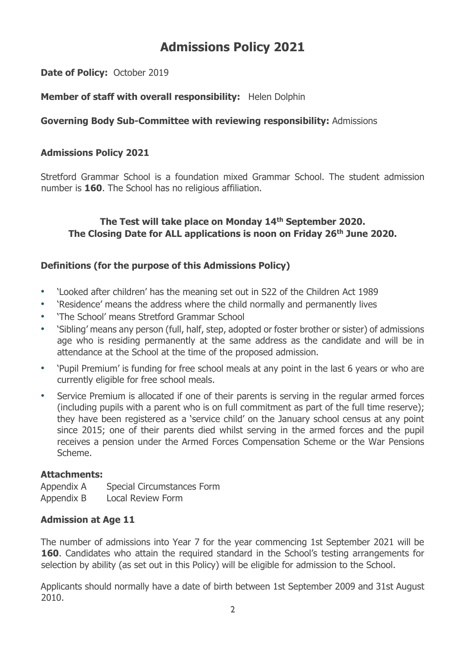# **Admissions Policy 2021**

**Date of Policy:** October 2019

# **Member of staff with overall responsibility:** Helen Dolphin

# **Governing Body Sub-Committee with reviewing responsibility:** Admissions

# **Admissions Policy 2021**

Stretford Grammar School is a foundation mixed Grammar School. The student admission number is **160**. The School has no religious affiliation.

# **The Test will take place on Monday 14th September 2020. The Closing Date for ALL applications is noon on Friday 26th June 2020.**

# **Definitions (for the purpose of this Admissions Policy)**

- 'Looked after children' has the meaning set out in S22 of the Children Act 1989
- 'Residence' means the address where the child normally and permanently lives
- 'The School' means Stretford Grammar School
- 'Sibling' means any person (full, half, step, adopted or foster brother or sister) of admissions age who is residing permanently at the same address as the candidate and will be in attendance at the School at the time of the proposed admission.
- 'Pupil Premium' is funding for free school meals at any point in the last 6 years or who are currently eligible for free school meals.
- Service Premium is allocated if one of their parents is serving in the regular armed forces (including pupils with a parent who is on full commitment as part of the full time reserve); they have been registered as a 'service child' on the January school census at any point since 2015; one of their parents died whilst serving in the armed forces and the pupil receives a pension under the Armed Forces Compensation Scheme or the War Pensions Scheme.

# **Attachments:**

Appendix A Special Circumstances Form Appendix B Local Review Form

# **Admission at Age 11**

The number of admissions into Year 7 for the year commencing 1st September 2021 will be **160.** Candidates who attain the required standard in the School's testing arrangements for selection by ability (as set out in this Policy) will be eligible for admission to the School.

Applicants should normally have a date of birth between 1st September 2009 and 31st August 2010.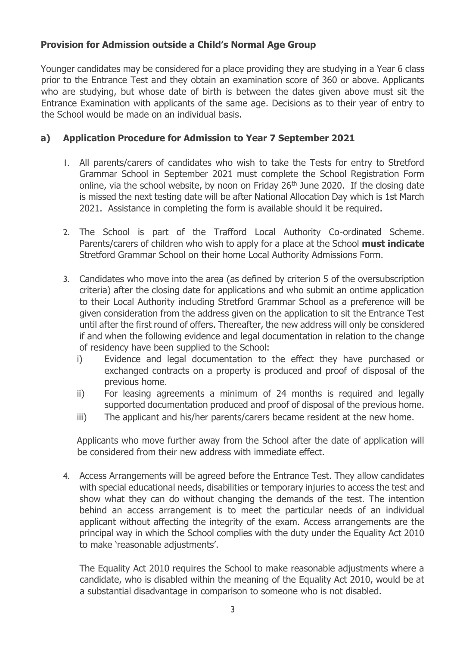# **Provision for Admission outside a Child's Normal Age Group**

Younger candidates may be considered for a place providing they are studying in a Year 6 class prior to the Entrance Test and they obtain an examination score of 360 or above. Applicants who are studying, but whose date of birth is between the dates given above must sit the Entrance Examination with applicants of the same age. Decisions as to their year of entry to the School would be made on an individual basis.

# **a) Application Procedure for Admission to Year 7 September 2021**

- 1. All parents/carers of candidates who wish to take the Tests for entry to Stretford Grammar School in September 2021 must complete the School Registration Form online, via the school website, by noon on Friday 26<sup>th</sup> June 2020. If the closing date is missed the next testing date will be after National Allocation Day which is 1st March 2021. Assistance in completing the form is available should it be required.
- 2. The School is part of the Trafford Local Authority Co-ordinated Scheme. Parents/carers of children who wish to apply for a place at the School **must indicate** Stretford Grammar School on their home Local Authority Admissions Form.
- 3. Candidates who move into the area (as defined by criterion 5 of the oversubscription criteria) after the closing date for applications and who submit an ontime application to their Local Authority including Stretford Grammar School as a preference will be given consideration from the address given on the application to sit the Entrance Test until after the first round of offers. Thereafter, the new address will only be considered if and when the following evidence and legal documentation in relation to the change of residency have been supplied to the School:
	- i) Evidence and legal documentation to the effect they have purchased or exchanged contracts on a property is produced and proof of disposal of the previous home.
	- ii) For leasing agreements a minimum of 24 months is required and legally supported documentation produced and proof of disposal of the previous home.
	- iii) The applicant and his/her parents/carers became resident at the new home.

Applicants who move further away from the School after the date of application will be considered from their new address with immediate effect.

4. Access Arrangements will be agreed before the Entrance Test. They allow candidates with special educational needs, disabilities or temporary injuries to access the test and show what they can do without changing the demands of the test. The intention behind an access arrangement is to meet the particular needs of an individual applicant without affecting the integrity of the exam. Access arrangements are the principal way in which the School complies with the duty under the Equality Act 2010 to make 'reasonable adjustments'.

The Equality Act 2010 requires the School to make reasonable adjustments where a candidate, who is disabled within the meaning of the Equality Act 2010, would be at a substantial disadvantage in comparison to someone who is not disabled.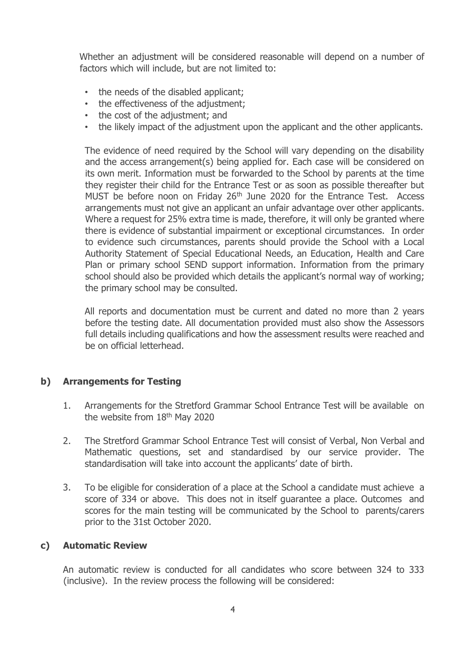Whether an adjustment will be considered reasonable will depend on a number of factors which will include, but are not limited to:

- the needs of the disabled applicant;
- the effectiveness of the adjustment;
- the cost of the adjustment; and
- the likely impact of the adjustment upon the applicant and the other applicants.

The evidence of need required by the School will vary depending on the disability and the access arrangement(s) being applied for. Each case will be considered on its own merit. Information must be forwarded to the School by parents at the time they register their child for the Entrance Test or as soon as possible thereafter but MUST be before noon on Friday 26<sup>th</sup> June 2020 for the Entrance Test. Access arrangements must not give an applicant an unfair advantage over other applicants. Where a request for 25% extra time is made, therefore, it will only be granted where there is evidence of substantial impairment or exceptional circumstances. In order to evidence such circumstances, parents should provide the School with a Local Authority Statement of Special Educational Needs, an Education, Health and Care Plan or primary school SEND support information. Information from the primary school should also be provided which details the applicant's normal way of working; the primary school may be consulted.

All reports and documentation must be current and dated no more than 2 years before the testing date. All documentation provided must also show the Assessors full details including qualifications and how the assessment results were reached and be on official letterhead.

# **b) Arrangements for Testing**

- 1. Arrangements for the Stretford Grammar School Entrance Test will be available on the website from 18<sup>th</sup> May 2020
- 2. The Stretford Grammar School Entrance Test will consist of Verbal, Non Verbal and Mathematic questions, set and standardised by our service provider. The standardisation will take into account the applicants' date of birth.
- 3. To be eligible for consideration of a place at the School a candidate must achieve a score of 334 or above. This does not in itself guarantee a place. Outcomes and scores for the main testing will be communicated by the School to parents/carers prior to the 31st October 2020.

#### **c) Automatic Review**

An automatic review is conducted for all candidates who score between 324 to 333 (inclusive). In the review process the following will be considered: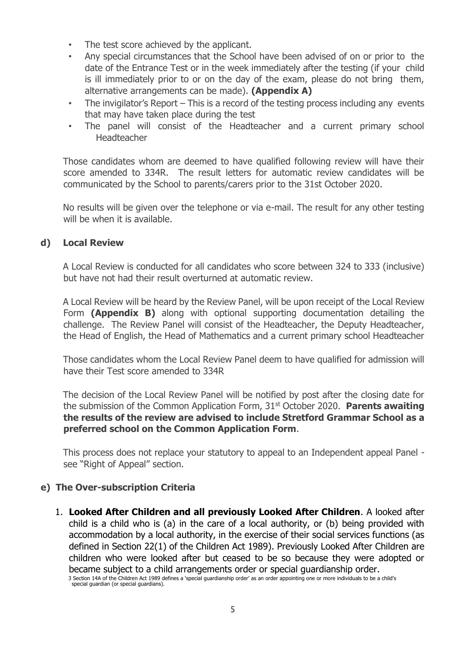- The test score achieved by the applicant.
- Any special circumstances that the School have been advised of on or prior to the date of the Entrance Test or in the week immediately after the testing (if your child is ill immediately prior to or on the day of the exam, please do not bring them, alternative arrangements can be made). **(Appendix A)**
- The invigilator's Report This is a record of the testing process including any events that may have taken place during the test
- The panel will consist of the Headteacher and a current primary school Headteacher

Those candidates whom are deemed to have qualified following review will have their score amended to 334R. The result letters for automatic review candidates will be communicated by the School to parents/carers prior to the 31st October 2020.

No results will be given over the telephone or via e-mail. The result for any other testing will be when it is available.

#### **d) Local Review**

A Local Review is conducted for all candidates who score between 324 to 333 (inclusive) but have not had their result overturned at automatic review.

A Local Review will be heard by the Review Panel, will be upon receipt of the Local Review Form **(Appendix B)** along with optional supporting documentation detailing the challenge. The Review Panel will consist of the Headteacher, the Deputy Headteacher, the Head of English, the Head of Mathematics and a current primary school Headteacher

Those candidates whom the Local Review Panel deem to have qualified for admission will have their Test score amended to 334R

The decision of the Local Review Panel will be notified by post after the closing date for the submission of the Common Application Form, 31st October 2020. **Parents awaiting the results of the review are advised to include Stretford Grammar School as a preferred school on the Common Application Form**.

This process does not replace your statutory to appeal to an Independent appeal Panel see "Right of Appeal" section.

#### **e) The Over-subscription Criteria**

1. **Looked After Children and all previously Looked After Children**. A looked after child is a child who is (a) in the care of a local authority, or (b) being provided with accommodation by a local authority, in the exercise of their social services functions (as defined in Section 22(1) of the Children Act 1989). Previously Looked After Children are children who were looked after but ceased to be so because they were adopted or became subject to a child arrangements order or special guardianship order.

<sup>3</sup> Section 14A of the Children Act 1989 defines a 'special guardianship order' as an order appointing one or more individuals to be a child's special guardian (or special guardians).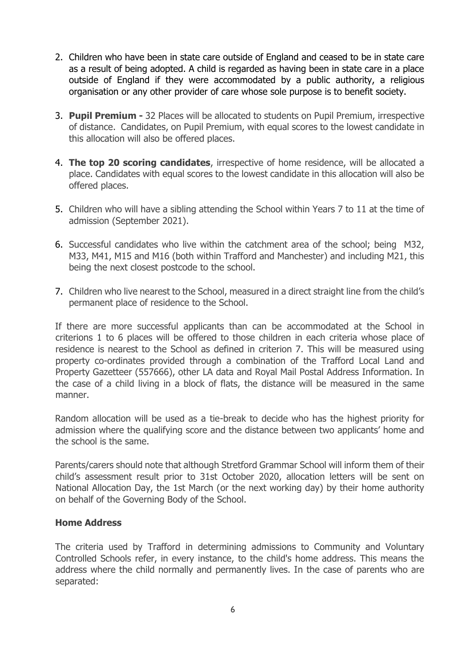- 2. Children who have been in state care outside of England and ceased to be in state care as a result of being adopted. A child is regarded as having been in state care in a place outside of England if they were accommodated by a public authority, a religious organisation or any other provider of care whose sole purpose is to benefit society.
- 3. **Pupil Premium -** 32 Places will be allocated to students on Pupil Premium, irrespective of distance. Candidates, on Pupil Premium, with equal scores to the lowest candidate in this allocation will also be offered places.
- 4. **The top 20 scoring candidates**, irrespective of home residence, will be allocated a place. Candidates with equal scores to the lowest candidate in this allocation will also be offered places.
- 5. Children who will have a sibling attending the School within Years 7 to 11 at the time of admission (September 2021).
- 6. Successful candidates who live within the catchment area of the school; being M32, M33, M41, M15 and M16 (both within Trafford and Manchester) and including M21, this being the next closest postcode to the school.
- 7. Children who live nearest to the School, measured in a direct straight line from the child's permanent place of residence to the School.

If there are more successful applicants than can be accommodated at the School in criterions 1 to 6 places will be offered to those children in each criteria whose place of residence is nearest to the School as defined in criterion 7. This will be measured using property co-ordinates provided through a combination of the Trafford Local Land and Property Gazetteer (557666), other LA data and Royal Mail Postal Address Information. In the case of a child living in a block of flats, the distance will be measured in the same manner.

Random allocation will be used as a tie-break to decide who has the highest priority for admission where the qualifying score and the distance between two applicants' home and the school is the same.

Parents/carers should note that although Stretford Grammar School will inform them of their child's assessment result prior to 31st October 2020, allocation letters will be sent on National Allocation Day, the 1st March (or the next working day) by their home authority on behalf of the Governing Body of the School.

#### **Home Address**

The criteria used by Trafford in determining admissions to Community and Voluntary Controlled Schools refer, in every instance, to the child's home address. This means the address where the child normally and permanently lives. In the case of parents who are separated: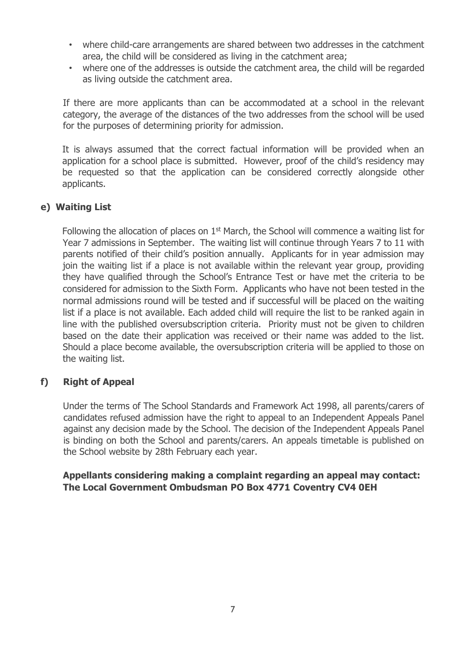- where child-care arrangements are shared between two addresses in the catchment area, the child will be considered as living in the catchment area;
- where one of the addresses is outside the catchment area, the child will be regarded as living outside the catchment area.

If there are more applicants than can be accommodated at a school in the relevant category, the average of the distances of the two addresses from the school will be used for the purposes of determining priority for admission.

It is always assumed that the correct factual information will be provided when an application for a school place is submitted. However, proof of the child's residency may be requested so that the application can be considered correctly alongside other applicants.

#### **e) Waiting List**

Following the allocation of places on 1<sup>st</sup> March, the School will commence a waiting list for Year 7 admissions in September. The waiting list will continue through Years 7 to 11 with parents notified of their child's position annually. Applicants for in year admission may join the waiting list if a place is not available within the relevant year group, providing they have qualified through the School's Entrance Test or have met the criteria to be considered for admission to the Sixth Form. Applicants who have not been tested in the normal admissions round will be tested and if successful will be placed on the waiting list if a place is not available. Each added child will require the list to be ranked again in line with the published oversubscription criteria. Priority must not be given to children based on the date their application was received or their name was added to the list. Should a place become available, the oversubscription criteria will be applied to those on the waiting list.

#### **f) Right of Appeal**

Under the terms of The School Standards and Framework Act 1998, all parents/carers of candidates refused admission have the right to appeal to an Independent Appeals Panel against any decision made by the School. The decision of the Independent Appeals Panel is binding on both the School and parents/carers. An appeals timetable is published on the School website by 28th February each year.

#### **Appellants considering making a complaint regarding an appeal may contact: The Local Government Ombudsman PO Box 4771 Coventry CV4 0EH**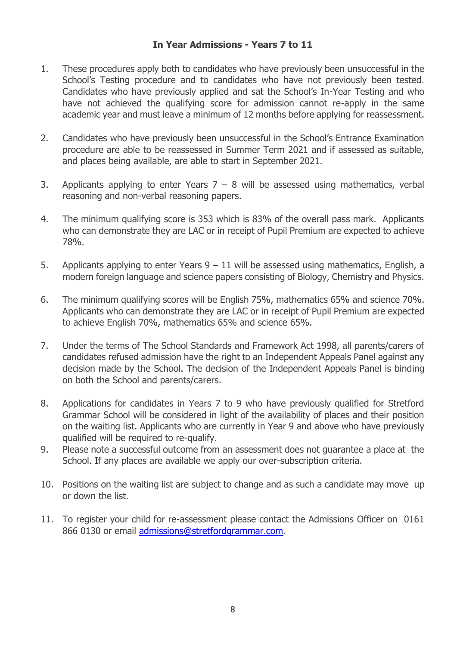#### **In Year Admissions - Years 7 to 11**

- 1. These procedures apply both to candidates who have previously been unsuccessful in the School's Testing procedure and to candidates who have not previously been tested. Candidates who have previously applied and sat the School's In-Year Testing and who have not achieved the qualifying score for admission cannot re-apply in the same academic year and must leave a minimum of 12 months before applying for reassessment.
- 2. Candidates who have previously been unsuccessful in the School's Entrance Examination procedure are able to be reassessed in Summer Term 2021 and if assessed as suitable, and places being available, are able to start in September 2021.
- 3. Applicants applying to enter Years  $7 8$  will be assessed using mathematics, verbal reasoning and non-verbal reasoning papers.
- 4. The minimum qualifying score is 353 which is 83% of the overall pass mark. Applicants who can demonstrate they are LAC or in receipt of Pupil Premium are expected to achieve 78%.
- 5. Applicants applying to enter Years  $9 11$  will be assessed using mathematics, English, a modern foreign language and science papers consisting of Biology, Chemistry and Physics.
- 6. The minimum qualifying scores will be English 75%, mathematics 65% and science 70%. Applicants who can demonstrate they are LAC or in receipt of Pupil Premium are expected to achieve English 70%, mathematics 65% and science 65%.
- 7. Under the terms of The School Standards and Framework Act 1998, all parents/carers of candidates refused admission have the right to an Independent Appeals Panel against any decision made by the School. The decision of the Independent Appeals Panel is binding on both the School and parents/carers.
- 8. Applications for candidates in Years 7 to 9 who have previously qualified for Stretford Grammar School will be considered in light of the availability of places and their position on the waiting list. Applicants who are currently in Year 9 and above who have previously qualified will be required to re-qualify.
- 9. Please note a successful outcome from an assessment does not guarantee a place at the School. If any places are available we apply our over-subscription criteria.
- 10. Positions on the waiting list are subject to change and as such a candidate may move up or down the list.
- 11. To register your child for re-assessment please contact the Admissions Officer on 0161 866 0130 or email admissions@stretfordgrammar.com.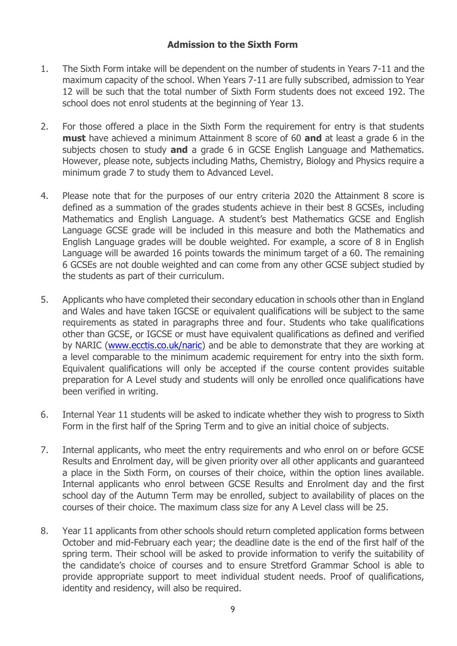#### **Admission to the Sixth Form**

- 1. The Sixth Form intake will be dependent on the number of students in Years 7-11 and the maximum capacity of the school. When Years 7-11 are fully subscribed, admission to Year 12 will be such that the total number of Sixth Form students does not exceed 192. The school does not enrol students at the beginning of Year 13.
- 2. For those offered a place in the Sixth Form the requirement for entry is that students **must** have achieved a minimum Attainment 8 score of 60 **and** at least a grade 6 in the subjects chosen to study **and** a grade 6 in GCSE English Language and Mathematics. However, please note, subjects including Maths, Chemistry, Biology and Physics require a minimum grade 7 to study them to Advanced Level.
- 4. Please note that for the purposes of our entry criteria 2020 the Attainment 8 score is defined as a summation of the grades students achieve in their best 8 GCSEs, including Mathematics and English Language. A student's best Mathematics GCSE and English Language GCSE grade will be included in this measure and both the Mathematics and English Language grades will be double weighted. For example, a score of 8 in English Language will be awarded 16 points towards the minimum target of a 60. The remaining 6 GCSEs are not double weighted and can come from any other GCSE subject studied by the students as part of their curriculum.
- 5. Applicants who have completed their secondary education in schools other than in England and Wales and have taken IGCSE or equivalent qualifications will be subject to the same requirements as stated in paragraphs three and four. Students who take qualifications other than GCSE, or IGCSE or must have equivalent qualifications as defined and verified by NARIC [\(www.ecctis.co.uk/naric\)](http://www.ecctis.co.uk/naric) and be able to demonstrate that they are working at a level comparable to the minimum academic requirement for entry into the sixth form. Equivalent qualifications will only be accepted if the course content provides suitable preparation for A Level study and students will only be enrolled once qualifications have been verified in writing.
- 6. Internal Year 11 students will be asked to indicate whether they wish to progress to Sixth Form in the first half of the Spring Term and to give an initial choice of subjects.
- 7. Internal applicants, who meet the entry requirements and who enrol on or before GCSE Results and Enrolment day, will be given priority over all other applicants and guaranteed a place in the Sixth Form, on courses of their choice, within the option lines available. Internal applicants who enrol between GCSE Results and Enrolment day and the first school day of the Autumn Term may be enrolled, subject to availability of places on the courses of their choice. The maximum class size for any A Level class will be 25.
- 8. Year 11 applicants from other schools should return completed application forms between October and mid-February each year; the deadline date is the end of the first half of the spring term. Their school will be asked to provide information to verify the suitability of the candidate's choice of courses and to ensure Stretford Grammar School is able to provide appropriate support to meet individual student needs. Proof of qualifications, identity and residency, will also be required.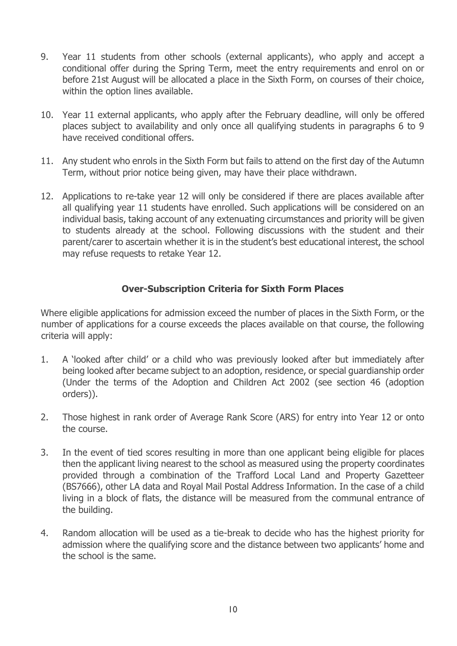- 9. Year 11 students from other schools (external applicants), who apply and accept a conditional offer during the Spring Term, meet the entry requirements and enrol on or before 21st August will be allocated a place in the Sixth Form, on courses of their choice, within the option lines available.
- 10. Year 11 external applicants, who apply after the February deadline, will only be offered places subject to availability and only once all qualifying students in paragraphs 6 to 9 have received conditional offers.
- 11. Any student who enrols in the Sixth Form but fails to attend on the first day of the Autumn Term, without prior notice being given, may have their place withdrawn.
- 12. Applications to re-take year 12 will only be considered if there are places available after all qualifying year 11 students have enrolled. Such applications will be considered on an individual basis, taking account of any extenuating circumstances and priority will be given to students already at the school. Following discussions with the student and their parent/carer to ascertain whether it is in the student's best educational interest, the school may refuse requests to retake Year 12.

#### **Over-Subscription Criteria for Sixth Form Places**

Where eligible applications for admission exceed the number of places in the Sixth Form, or the number of applications for a course exceeds the places available on that course, the following criteria will apply:

- 1. A 'looked after child' or a child who was previously looked after but immediately after being looked after became subject to an adoption, residence, or special guardianship order (Under the terms of the Adoption and Children Act 2002 (see section 46 (adoption orders)).
- 2. Those highest in rank order of Average Rank Score (ARS) for entry into Year 12 or onto the course.
- 3. In the event of tied scores resulting in more than one applicant being eligible for places then the applicant living nearest to the school as measured using the property coordinates provided through a combination of the Trafford Local Land and Property Gazetteer (BS7666), other LA data and Royal Mail Postal Address Information. In the case of a child living in a block of flats, the distance will be measured from the communal entrance of the building.
- 4. Random allocation will be used as a tie-break to decide who has the highest priority for admission where the qualifying score and the distance between two applicants' home and the school is the same.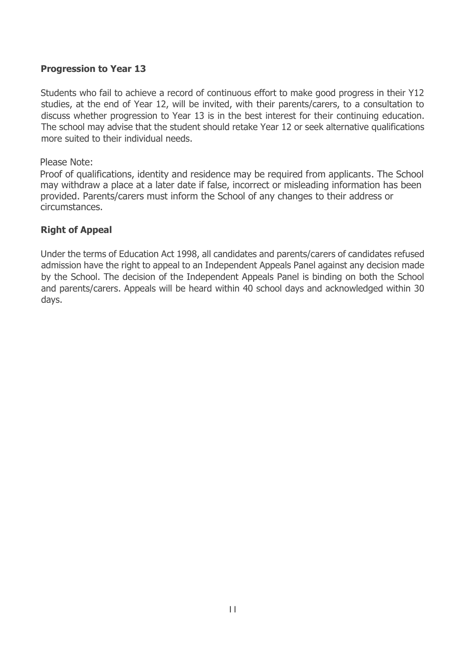### **Progression to Year 13**

Students who fail to achieve a record of continuous effort to make good progress in their Y12 studies, at the end of Year 12, will be invited, with their parents/carers, to a consultation to discuss whether progression to Year 13 is in the best interest for their continuing education. The school may advise that the student should retake Year 12 or seek alternative qualifications more suited to their individual needs.

#### Please Note:

Proof of qualifications, identity and residence may be required from applicants. The School may withdraw a place at a later date if false, incorrect or misleading information has been provided. Parents/carers must inform the School of any changes to their address or circumstances.

#### **Right of Appeal**

Under the terms of Education Act 1998, all candidates and parents/carers of candidates refused admission have the right to appeal to an Independent Appeals Panel against any decision made by the School. The decision of the Independent Appeals Panel is binding on both the School and parents/carers. Appeals will be heard within 40 school days and acknowledged within 30 days.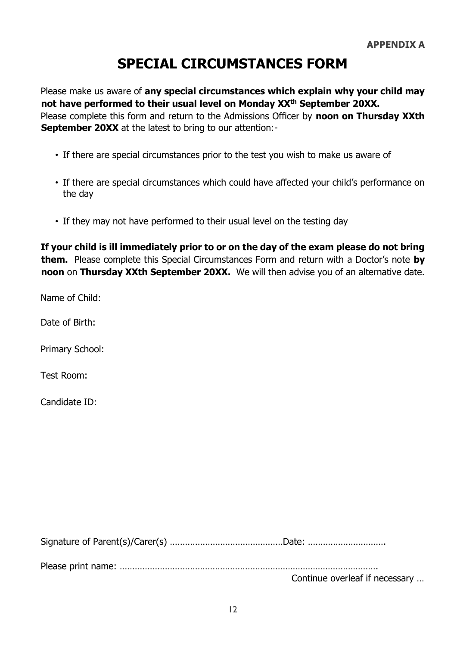# **SPECIAL CIRCUMSTANCES FORM**

Please make us aware of **any special circumstances which explain why your child may not have performed to their usual level on Monday XXth September 20XX.** Please complete this form and return to the Admissions Officer by **noon on Thursday XXth September 20XX** at the latest to bring to our attention:-

- If there are special circumstances prior to the test you wish to make us aware of
- If there are special circumstances which could have affected your child's performance on the day
- If they may not have performed to their usual level on the testing day

**If your child is ill immediately prior to or on the day of the exam please do not bring them.** Please complete this Special Circumstances Form and return with a Doctor's note **by noon** on **Thursday XXth September 20XX.** We will then advise you of an alternative date.

Name of Child:

Date of Birth:

Primary School:

Test Room:

Candidate ID:

Signature of Parent(s)/Carer(s) ………………………………………Date: ………………………….

Please print name: ………………………………………………………………………………………….

Continue overleaf if necessary …